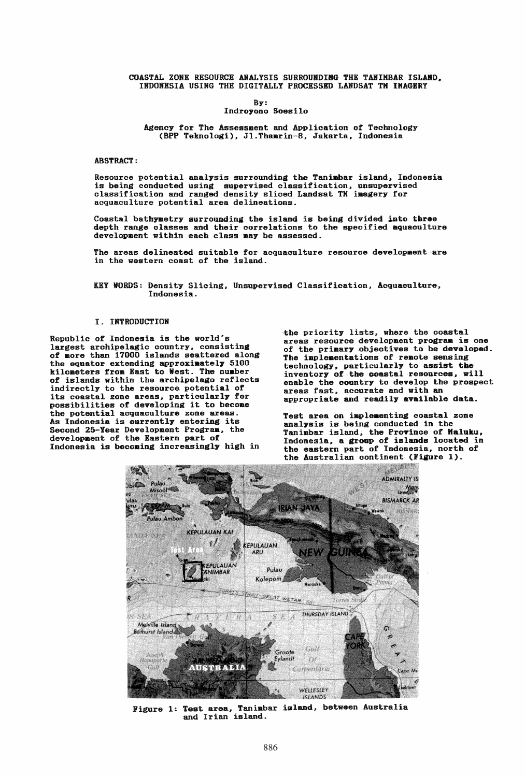COASTAL ZONE RESOURCE ANALYSIS SURROUNDIRG THE TANIMBAR ISLAND. INDONBSIA USING THB DIGITALLY PROCESSED LANDSAT TM IMAGERY

By:

Indroyono Soesilo

Agency for The Assessment and Application of Technology (BPP Teknologi). JI.Thamrin-8, Jakarta. Indonesia

ABSTRACT:

Resource potential analysis surrounding the Tanimbar island. Indonesia is being conducted using supervised classification. unsupervised classification and ranged density sliced Landsat TM imagery for acquaculture potential area delineations.

Coastal bathymetry surrounding the island is being divided into three depth range classes and their correlations to the specified aquaoulture development within each class may be assessed.

The areas delineated suitable for acquaculture resource development are in the western coast of the island.

KEY WORDS: Density Slicing, Unsupervised Classification, Acquaculture, Indonesia.

## I. INTRODUCTION

Republic of Indonesia is the world's largest archipelagic country. consisting of more than 17000 islands scattered along the equator extending approximately 5100 kilometers from East to West. The number of islands within the archipelago reflects indirectly to the resource potential of its coastal zone areas, particularly for possibilities of developing it to become the potential acquaculture zone areas. As Indonesia is ourrently entering its Second 25-Year Development Program, the development of the Eastern part of Indonesia is becoming increasingly high in

the priority lists, where the coastal areas resource development program is one of the priaary objectives to be developed. The implementations of remote sensing technology, particularly to assist the inventory of the coastal resources, will enable the country to develop the prospect areas fast, accurate and with an appropriate and readily available data.

Test area on implementing coastal zone analysis is being conducted in the Tanimbar island, the Province of Maluku, Indonesia. a groop of islands located in the eastern part of Indonesia, north of



Figure 1: Test area, Tanimbar island, between Australia and Irian island.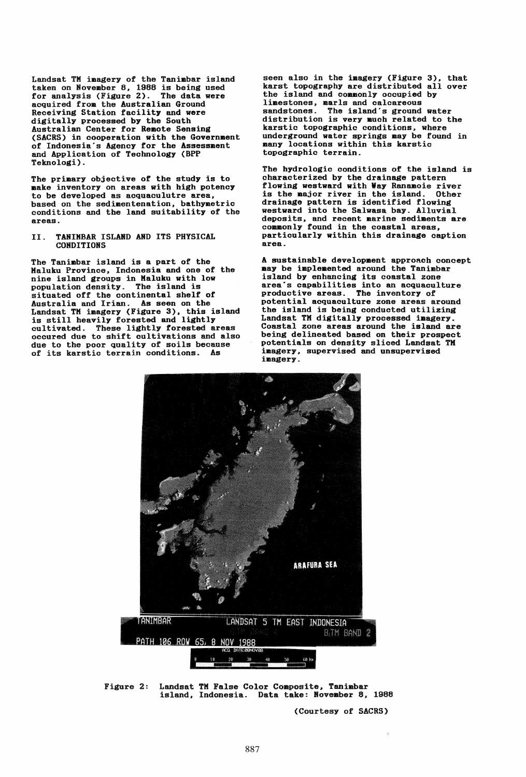Landsat TH imagery of the Tanimbar island taken on November 8, 1988 is being used for analysis (Figure 2). The data were acquired from the Australian Ground Receiving Station facility and were digitally processed by the South Australian Center for Remote Sensing (SACRS) in cooperation with the Government of Indonesia's Agency for the Assessment and Application of Technology (BPP Teknologi).

The primary objective of the study is to make inventory on areas with high potency to be developed as acquaculutre area. based on the sedimentenation. bathymetric conditions and the land suitability of the areas.

## II. TANIHBAR ISLAND AND ITS PHYSICAL **CONDITIONS**

The Tanimbar island is a part of the Kaluku Province, Indonesia and one of the nine island groups in Kaluku with low population density. The island is situated off the continental shelf of Australia and Irian. As seen on the Landsat TM imagery (Figure 3), this island<br>is still heavily forested and lightly cultivated. These lightly forested areas occured due to shift cultivations and also due to the poor quality of soils because of its karstic terrain conditions. As

seen also in the imagery (Figure 3). that karst topography are distributed all over the island and commonly occupied by limestones, marls and calcareous sandstones. The island's ground water distribution is very much related to the karstic topographic conditions. where underground water springs may be found in many locations within this karstic topographic terrain.

The hydrologic conditions of the island is characterized by the drainage pattern flowing westward with Way Ranamoie river is the major river in the island. Other drainage pattern is identified flowing westward into the Salwasa bay. Alluvial deposits. and recent marine sediments are commonly found in the coastal areas, particularly within this drainage caption area.

A sustainable development approach concept may be implemented around the Tanimbar and by enhancing its coastal zone area's capabilities into an acquaculture productive areas. The inventory of potential acquaculture zone areas around the island is being conducted utilizing Landsat TK digitally processed imagery. Coastal zone areas around the island are being delineated based on their prospect potentials on density sliced Landsat TN imagery. supervised and unsupervised imagery.



Figure 2: Landsat TK False Color Composite, Tanimbar island. Indonesia. Data take: November 8, 1988

(Courtesy of SACRS)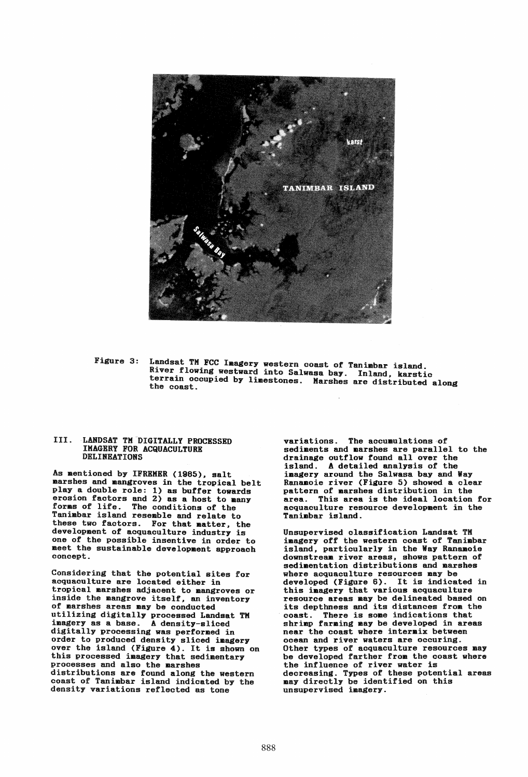

Figure 3: Landsat TM FCC Imagery western coast of Tanimbar island. River flowing westward into Salwasa bay. Inland, karstic terrain occupied by limestones. Marshes are distributed along<br>the coast.

## III. LANDSAT TM DIGITALLY PROCESSED IMAGERY FOR ACQUACULTURB DELINEATIONS

As mentioned by IFREMER (1985), salt marshes and mangroves in the tropical belt playa double role: 1) as buffer towards erosion factors and 2) as a host to many<br>forms of life. The conditions of the Tanimbar island resemble and relate to these two factors. For that matter, the development of acquaculture industry is one of the possible insentive in order to meet the sustainable development approach concept.

Considering that the potential sites for acquaculture are located either in tropical marshes adjacent to mangroves or inside the mangrove itself, an inventory of marshes areas may be conducted utilizing digitally processed Landsat TM imagery as a base. A density-sliced digitally processing was performed in order to produced density sliced imagery over the island (Figure 4). It is shown on this processed imagery that sedimentary processes and also the marshes distributions are found along the western coast of Tanimbar island indicated by the density variations reflected as tone

variations. The accumulations of sediments and marshes are parallel to the drainage outflow found allover the island. A detailed analysis of the imagery around the Salwasa bay and Way Ranaaoie river (Figure **5)** showed a clear pattern of marshes distribution in the area. This area is the ideal location for acquaculture resource development in the Tanimbar island.

Unsupervised classification Landsat TK imagery off the western coast of Tanimbar island, particularly in the Way Ranamoie downstreaa river areas, shows pattern **of**  sedimentation distributions and marshes where acquaculture resources may be developed (Figure 6). It is indicated in this imagery that various acquaculture resource areas may be delineated based on its depthness and its distances from the coast. There is some indications that shrimp farming may be developed in areas near the coast where intermix between ocean and river waters are occuring. Other types of acquaculture resources may be developed farther from the coast where the influence of river water is decreasing. Types of these potential areas may directly be identified on this unsupervised imagery.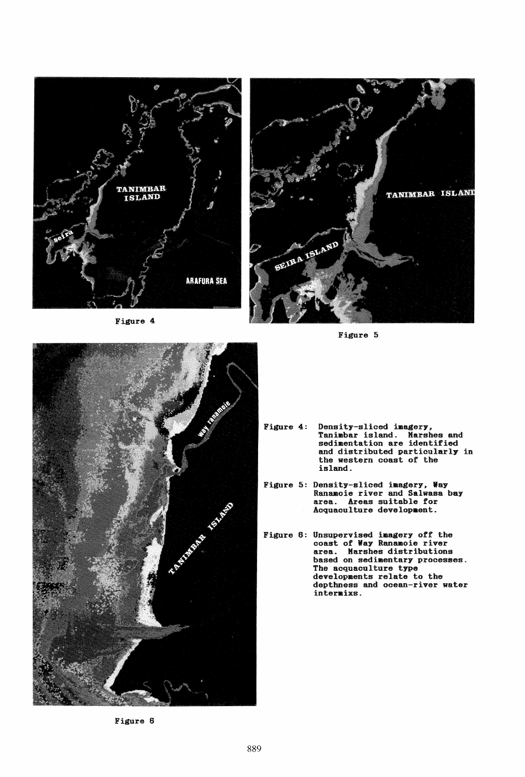

Figure 4



Figure 5



- Figure 4: Density-sliced imagery, Tanimbar island. Marshes and sedimentation are identified and distributed particularly in the western coast of the island.
- Figure 5: Density-sliced imagery, Way Ranamoie river and Salwasa bay area. Areas suitable for Acquaculture development.
- Figure 6: Unsupervised imagery off the coast of Way Ranamoie river area. Marshes distributions based on sedimentary processes. The acquaculture type developments relate to the depthness and ocean-river water intermixs.

Figure 6